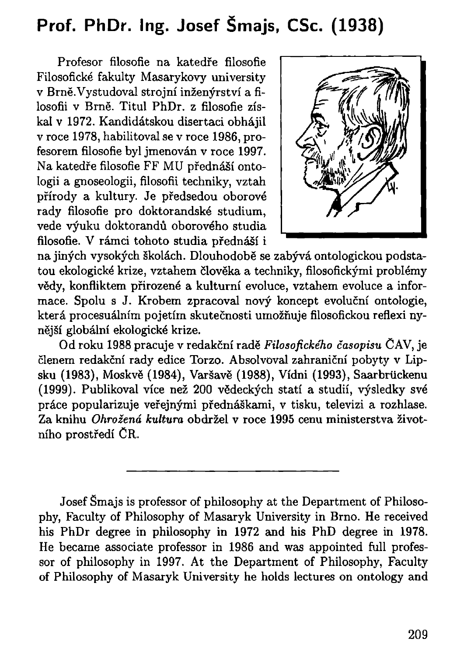## Prof. PhDr. Ing. Josef Šmajs, CSc. (1938)

Profesor filosofie na katedře filosofie Filosofické fakulty Masarykovy university v Brně.Vystudoval strojní inženýrství a filosofii v Brně. Titul PhDr. z filosofie získal v 1972. Kandidátskou disertaci obhájil v roce 1978, habilitoval se v roce 1986, profesorem filosofie byl jmenován v roce 1997. Na katedře filosofie FF MU přednáší ontologii a gnoseologii, filosofii techniky, vztah přírody a kultury. Je předsedou oborové rady filosofie pro doktorandské studium, vede výuku doktorandů oborového studia filosofie. V rámci tohoto studia přednáší i



na jiných vysokých školách. Dlouhodobě se zabývá ontologickou podstatou ekologické krize, vztahem člověka a techniky, filosofickými problémy vědy, konfliktem přirozené a kulturní evoluce, vztahem evoluce a informace. Spolu s J. Krobem zpracoval nový koncept evoluční ontologie, která procesuálním pojetím skutečnosti umožňuje filosofickou reflexi nynější globální ekologické krize.

Od roku 1988 pracuje v redakční rad *Filosofického časopisu* CAV , je členem redakční rady edice Torzo. Absolvoval zahraniční pobyty v Lipsku (1983), Moskvě (1984), Varšavě (1988), Vídni (1993), Saarbrückenu (1999). Publikoval více než 200 vědeckých statí a studií, výsledky své práce popularizuje veřejnými přednáškami, v tisku, televizi a rozhlase. Za knihu *Ohrožená kultura* obdržel v roce 1995 cenu ministerstva životního prostředí CR.

Josef Smajs is professor of philosophy at the Department of Philosophy, Faculty of Philosophy of Masaryk University in Brno. He received his PhDr degree in philosophy in 1972 and his PhD degree in 1978. He became associate professor in 1986 and was appointed full professor of philosophy in 1997. At the Department of Philosophy, Faculty of Philosophy of Masaryk University he holds lectures on ontology and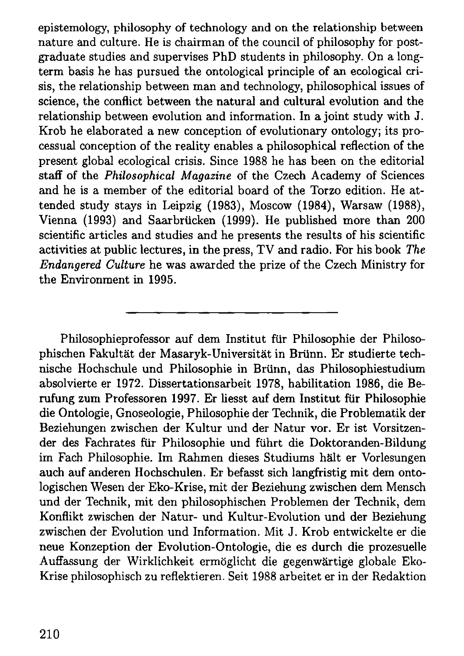epistemology, philosophy of technology and on the relationship between nature and culture. He is chairman of the council of philosophy for postgraduate studies and supervises PhD students in philosophy. On a longterm basis he has pursued the ontological principle of an ecological crisis, the relationship between man and technology, philosophical issues of science, the conflict between the natural and cultural evolution and the relationship between evolution and information. In a joint study with J. Krob he elaborated a new conception of evolutionary ontology; its processual conception of the reality enables a philosophical reflection of the present global ecological crisis. Since 1988 he has been on the editorial staff of the *Philosophical Magazine* of the Czech Academy of Sciences and he is a member of the editorial board of the Torzo edition. He attended study stays in Leipzig (1983), Moscow (1984), Warsaw (1988), Vienna (1993) and Saarbrücken (1999). He published more than 200 scientific articles and studies and he presents the results of his scientific activities at public lectures, in the press, T V and radio. For his book *The Endangered Culture* he was awarded the prize of the Czech Ministry for the Environment in 1995.

Philosophieprofessor auf dem Institut für Philosophie der Philosophischen Fakultät der Masaryk-Universität in Brünn. Er studierte technische Hochschule und Philosophie in Brünn, das Philosophiestudium absolvierte er 1972. Dissertationsarbeit 1978, habilitation 1986, die Berufung zum Professoren 1997. Er liesst auf dem Institut für Philosophie die Ontologie, Gnoseologie, Philosophie der Technik, die Problematik der Beziehungen zwischen der Kultur und der Natur vor. Er ist Vorsitzender des Fachrates für Philosophie und führt die Doktoranden-Bildung im Fach Philosophie. Im Rahmen dieses Studiums hält er Vorlesungen auch auf anderen Hochschulen. Er befasst sich langfristig mit dem ontologischen Wesen der Eko-Krise, mit der Beziehung zwischen dem Mensch und der Technik, mit den philosophischen Problemen der Technik, dem Konflikt zwischen der Natur- und Kultur-Evolution und der Beziehung zwischen der Evolution und Information. Mit J. Krob entwickelte er die neue Konzeption der Evolution-Ontologie, die es durch die prozesuelle Auffassung der Wirklichkeit ermöglicht die gegenwärtige globale Eko-Krise philosophisch zu reflektieren. Seit 1988 arbeitet er in der Redaktion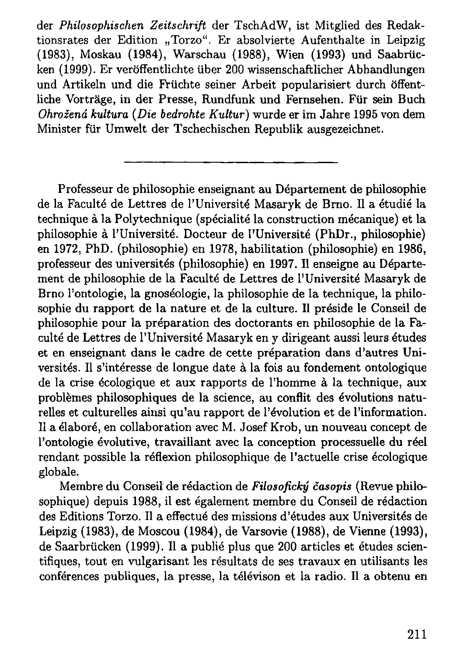der *Philosophischen Zeitschrift* der TschAdW, ist Mitglied des Redaktionsrates der Edition "Torzo". Er absolvierte Aufenthalte in Leipzig (1983), Moskau (1984), Warschau (1988), Wien (1993) und Saabrücken (1999). Er veröffentlichte über 200 wissenschaftlicher Abhandlungen und Artikeln und die Früchte seiner Arbeit popularisiert durch öffentliche Vorträge, in der Presse, Rundfunk und Fernsehen. Für sein Buch *Ohrožená kultura (Die bedrohte Kultur)* wurde er im Jahre 1995 von dem Minister für Umwelt der Tschechischen Republik ausgezeichnet.

Professeur de philosophie enseignant au Département de philosophie de la Faculté de Lettres de l'Université Masaryk de Brno. Il a étudié la technique à la Polytechnique (spécialité la construction mécanique) et la philosophie à l'Université. Docteur de l'Université (PhDr., philosophie) en 1972, PhD. (philosophie) en 1978, habilitation (philosophie) en 1986, professeur des universités (philosophie) en 1997. Il enseigne au Département de philosophie de la Faculté de Lettres de l'Université Masaryk de Brno l'ontologie, la gnoséologie, la philosophie de la technique, la philosophie du rapport de la nature et de la culture. Il préside le Conseil de philosophie pour la préparation des doctorants en philosophie de la Faculté de Lettres de l'Université Masaryk en y dirigeant aussi leurs études et en enseignant dans le cadre de cette préparation dans d'autres Universités. Il s'intéresse de longue date à la fois au fondement ontologique de la crise écologique et aux rapports de l'homme à la technique, aux problèmes philosophiques de la science, au conflit des évolutions naturelles et culturelles ainsi qu'au rapport de l'évolution et de l'information. Il a élaboré, en collaboration avec M. Josef Krob, un nouveau concept de l'ontologie évolutive, travaillant avec la conception processuelle du réel rendant possible la réflexion philosophique de l'actuelle crise écologique globale.

Membre du Conseil de rédaction de *Filosofický časopis* (Revue philosophique) depuis 1988, il est également membre du Conseil de rédaction des Editions Torzo. Il a effectué des missions d'études aux Universités de Leipzig (1983), de Moscou (1984), de Varsovie (1988), de Vienne (1993), de Saarbrücken (1999). Il a publié plus que 200 articles et études scientifiques, tout en vulgarisant les résultats de ses travaux en utilisants les conférences publiques, la presse, la télévison et la radio. Il a obtenu en